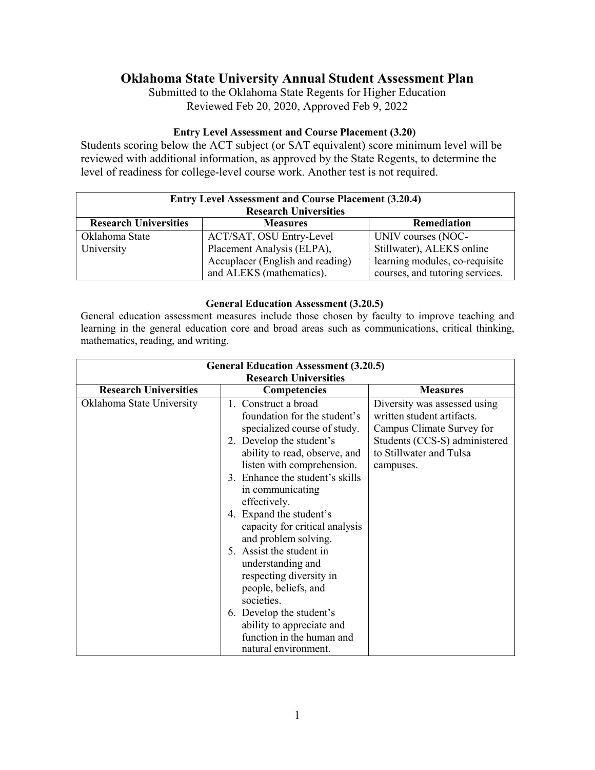# **Oklahoma State University Annual Student Assessment Plan**

Submitted to the Oklahoma State Regents for Higher Education Reviewed Feb 20, 2020, Approved Feb 9, 2022

#### **Entry Level Assessment and Course Placement (3.20)**

Students scoring below the ACT subject (or SAT equivalent) score minimum level will be reviewed with additional information, as approved by the State Regents, to determine the level of readiness for college-level course work. Another test is not required.

| <b>Entry Level Assessment and Course Placement (3.20.4)</b> |                                                              |                                                                   |  |  |
|-------------------------------------------------------------|--------------------------------------------------------------|-------------------------------------------------------------------|--|--|
| <b>Research Universities</b>                                |                                                              |                                                                   |  |  |
| <b>Research Universities</b>                                | <b>Measures</b>                                              | <b>Remediation</b>                                                |  |  |
| Oklahoma State                                              | ACT/SAT, OSU Entry-Level                                     | UNIV courses (NOC-                                                |  |  |
| University                                                  | Placement Analysis (ELPA),                                   | Stillwater), ALEKS online                                         |  |  |
|                                                             | Accuplacer (English and reading)<br>and ALEKS (mathematics). | learning modules, co-requisite<br>courses, and tutoring services. |  |  |

#### **General Education Assessment (3.20.5)**

General education assessment measures include those chosen by faculty to improve teaching and learning in the general education core and broad areas such as communications, critical thinking, mathematics, reading, and writing.

| <b>General Education Assessment (3.20.5)</b> |                                 |                               |  |  |
|----------------------------------------------|---------------------------------|-------------------------------|--|--|
| <b>Research Universities</b>                 |                                 |                               |  |  |
| <b>Research Universities</b>                 | Competencies                    | <b>Measures</b>               |  |  |
| Oklahoma State University                    | 1. Construct a broad            | Diversity was assessed using  |  |  |
|                                              | foundation for the student's    | written student artifacts.    |  |  |
|                                              | specialized course of study.    | Campus Climate Survey for     |  |  |
|                                              | 2. Develop the student's        | Students (CCS-S) administered |  |  |
|                                              | ability to read, observe, and   | to Stillwater and Tulsa       |  |  |
|                                              | listen with comprehension.      | campuses.                     |  |  |
|                                              | 3. Enhance the student's skills |                               |  |  |
|                                              | in communicating                |                               |  |  |
|                                              | effectively.                    |                               |  |  |
|                                              | 4. Expand the student's         |                               |  |  |
|                                              | capacity for critical analysis  |                               |  |  |
|                                              | and problem solving.            |                               |  |  |
|                                              | 5. Assist the student in        |                               |  |  |
|                                              | understanding and               |                               |  |  |
|                                              | respecting diversity in         |                               |  |  |
|                                              | people, beliefs, and            |                               |  |  |
|                                              | societies.                      |                               |  |  |
|                                              | 6. Develop the student's        |                               |  |  |
|                                              | ability to appreciate and       |                               |  |  |
|                                              | function in the human and       |                               |  |  |
|                                              | natural environment.            |                               |  |  |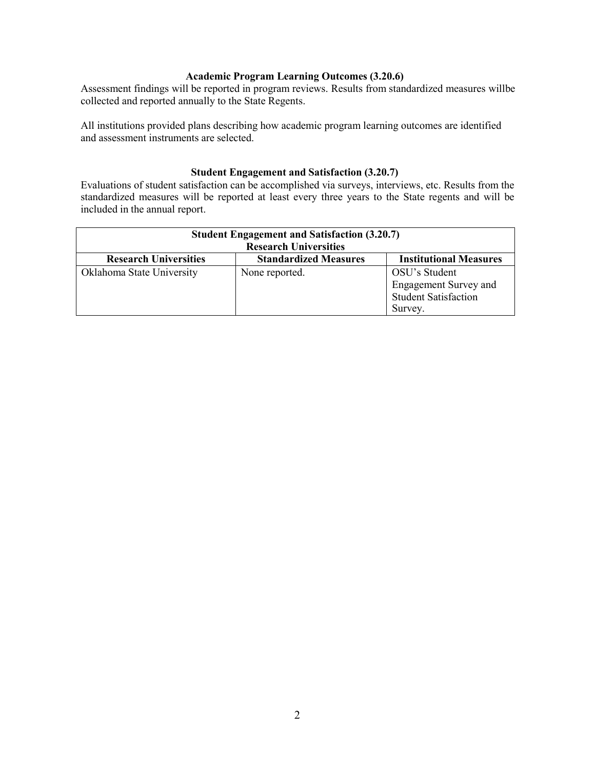#### **Academic Program Learning Outcomes (3.20.6)**

Assessment findings will be reported in program reviews. Results from standardized measures willbe collected and reported annually to the State Regents.

All institutions provided plans describing how academic program learning outcomes are identified and assessment instruments are selected.

#### **Student Engagement and Satisfaction (3.20.7)**

Evaluations of student satisfaction can be accomplished via surveys, interviews, etc. Results from the standardized measures will be reported at least every three years to the State regents and will be included in the annual report.

| <b>Student Engagement and Satisfaction (3.20.7)</b><br><b>Research Universities</b> |                              |                                                                                         |  |  |
|-------------------------------------------------------------------------------------|------------------------------|-----------------------------------------------------------------------------------------|--|--|
| <b>Research Universities</b>                                                        | <b>Standardized Measures</b> | <b>Institutional Measures</b>                                                           |  |  |
| Oklahoma State University                                                           | None reported.               | OSU's Student<br><b>Engagement Survey and</b><br><b>Student Satisfaction</b><br>Survey. |  |  |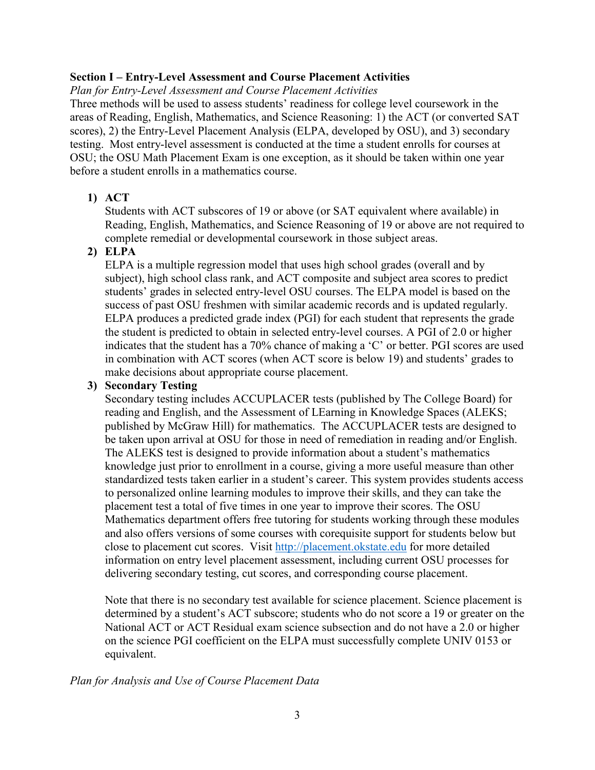# **Section I – Entry-Level Assessment and Course Placement Activities**

*Plan for Entry-Level Assessment and Course Placement Activities*

Three methods will be used to assess students' readiness for college level coursework in the areas of Reading, English, Mathematics, and Science Reasoning: 1) the ACT (or converted SAT scores), 2) the Entry-Level Placement Analysis (ELPA, developed by OSU), and 3) secondary testing. Most entry-level assessment is conducted at the time a student enrolls for courses at OSU; the OSU Math Placement Exam is one exception, as it should be taken within one year before a student enrolls in a mathematics course.

# **1) ACT**

Students with ACT subscores of 19 or above (or SAT equivalent where available) in Reading, English, Mathematics, and Science Reasoning of 19 or above are not required to complete remedial or developmental coursework in those subject areas.

# **2) ELPA**

ELPA is a multiple regression model that uses high school grades (overall and by subject), high school class rank, and ACT composite and subject area scores to predict students' grades in selected entry-level OSU courses. The ELPA model is based on the success of past OSU freshmen with similar academic records and is updated regularly. ELPA produces a predicted grade index (PGI) for each student that represents the grade the student is predicted to obtain in selected entry-level courses. A PGI of 2.0 or higher indicates that the student has a 70% chance of making a 'C' or better. PGI scores are used in combination with ACT scores (when ACT score is below 19) and students' grades to make decisions about appropriate course placement.

# **3) Secondary Testing**

Secondary testing includes ACCUPLACER tests (published by The College Board) for reading and English, and the Assessment of LEarning in Knowledge Spaces (ALEKS; published by McGraw Hill) for mathematics. The ACCUPLACER tests are designed to be taken upon arrival at OSU for those in need of remediation in reading and/or English. The ALEKS test is designed to provide information about a student's mathematics knowledge just prior to enrollment in a course, giving a more useful measure than other standardized tests taken earlier in a student's career. This system provides students access to personalized online learning modules to improve their skills, and they can take the placement test a total of five times in one year to improve their scores. The OSU Mathematics department offers free tutoring for students working through these modules and also offers versions of some courses with corequisite support for students below but close to placement cut scores. Visit [http://placement.okstate.edu](http://placement.okstate.edu/) for more detailed information on entry level placement assessment, including current OSU processes for delivering secondary testing, cut scores, and corresponding course placement.

Note that there is no secondary test available for science placement. Science placement is determined by a student's ACT subscore; students who do not score a 19 or greater on the National ACT or ACT Residual exam science subsection and do not have a 2.0 or higher on the science PGI coefficient on the ELPA must successfully complete UNIV 0153 or equivalent.

## *Plan for Analysis and Use of Course Placement Data*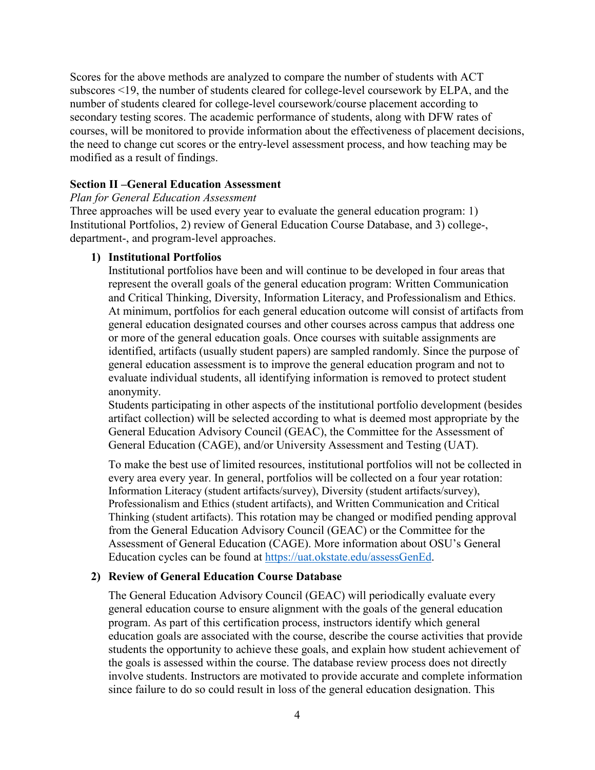Scores for the above methods are analyzed to compare the number of students with ACT subscores <19, the number of students cleared for college-level coursework by ELPA, and the number of students cleared for college-level coursework/course placement according to secondary testing scores. The academic performance of students, along with DFW rates of courses, will be monitored to provide information about the effectiveness of placement decisions, the need to change cut scores or the entry-level assessment process, and how teaching may be modified as a result of findings.

#### **Section II –General Education Assessment**

#### *Plan for General Education Assessment*

Three approaches will be used every year to evaluate the general education program: 1) Institutional Portfolios, 2) review of General Education Course Database, and 3) college-, department-, and program-level approaches.

#### **1) Institutional Portfolios**

Institutional portfolios have been and will continue to be developed in four areas that represent the overall goals of the general education program: Written Communication and Critical Thinking, Diversity, Information Literacy, and Professionalism and Ethics. At minimum, portfolios for each general education outcome will consist of artifacts from general education designated courses and other courses across campus that address one or more of the general education goals. Once courses with suitable assignments are identified, artifacts (usually student papers) are sampled randomly. Since the purpose of general education assessment is to improve the general education program and not to evaluate individual students, all identifying information is removed to protect student anonymity.

Students participating in other aspects of the institutional portfolio development (besides artifact collection) will be selected according to what is deemed most appropriate by the General Education Advisory Council (GEAC), the Committee for the Assessment of General Education (CAGE), and/or University Assessment and Testing (UAT).

To make the best use of limited resources, institutional portfolios will not be collected in every area every year. In general, portfolios will be collected on a four year rotation: Information Literacy (student artifacts/survey), Diversity (student artifacts/survey), Professionalism and Ethics (student artifacts), and Written Communication and Critical Thinking (student artifacts). This rotation may be changed or modified pending approval from the General Education Advisory Council (GEAC) or the Committee for the Assessment of General Education (CAGE). More information about OSU's General Education cycles can be found at [https://uat.okstate.edu/assessGenEd.](https://uat.okstate.edu/assessGenEd)

## **2) Review of General Education Course Database**

The General Education Advisory Council (GEAC) will periodically evaluate every general education course to ensure alignment with the goals of the general education program. As part of this certification process, instructors identify which general education goals are associated with the course, describe the course activities that provide students the opportunity to achieve these goals, and explain how student achievement of the goals is assessed within the course. The database review process does not directly involve students. Instructors are motivated to provide accurate and complete information since failure to do so could result in loss of the general education designation. This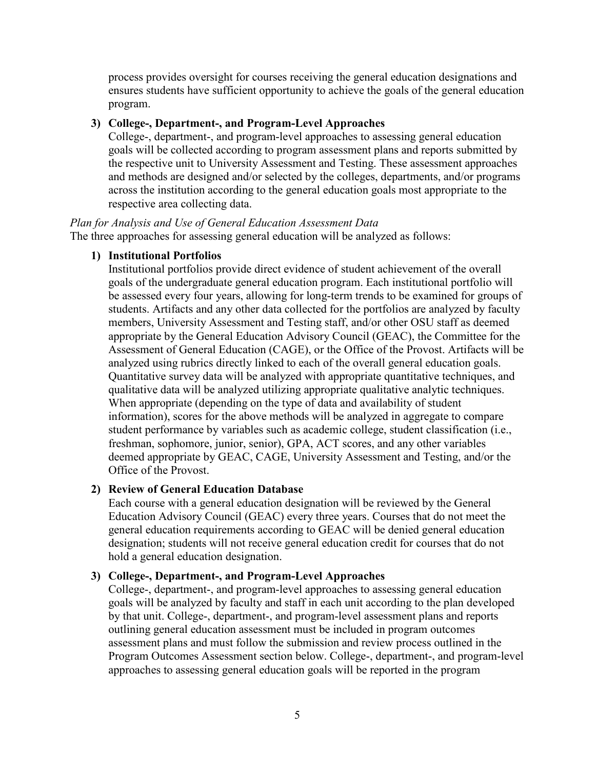process provides oversight for courses receiving the general education designations and ensures students have sufficient opportunity to achieve the goals of the general education program.

#### **3) College-, Department-, and Program-Level Approaches**

College-, department-, and program-level approaches to assessing general education goals will be collected according to program assessment plans and reports submitted by the respective unit to University Assessment and Testing. These assessment approaches and methods are designed and/or selected by the colleges, departments, and/or programs across the institution according to the general education goals most appropriate to the respective area collecting data.

*Plan for Analysis and Use of General Education Assessment Data* The three approaches for assessing general education will be analyzed as follows:

#### **1) Institutional Portfolios**

Institutional portfolios provide direct evidence of student achievement of the overall goals of the undergraduate general education program. Each institutional portfolio will be assessed every four years, allowing for long-term trends to be examined for groups of students. Artifacts and any other data collected for the portfolios are analyzed by faculty members, University Assessment and Testing staff, and/or other OSU staff as deemed appropriate by the General Education Advisory Council (GEAC), the Committee for the Assessment of General Education (CAGE), or the Office of the Provost. Artifacts will be analyzed using rubrics directly linked to each of the overall general education goals. Quantitative survey data will be analyzed with appropriate quantitative techniques, and qualitative data will be analyzed utilizing appropriate qualitative analytic techniques. When appropriate (depending on the type of data and availability of student information), scores for the above methods will be analyzed in aggregate to compare student performance by variables such as academic college, student classification (i.e., freshman, sophomore, junior, senior), GPA, ACT scores, and any other variables deemed appropriate by GEAC, CAGE, University Assessment and Testing, and/or the Office of the Provost.

#### **2) Review of General Education Database**

Each course with a general education designation will be reviewed by the General Education Advisory Council (GEAC) every three years. Courses that do not meet the general education requirements according to GEAC will be denied general education designation; students will not receive general education credit for courses that do not hold a general education designation.

#### **3) College-, Department-, and Program-Level Approaches**

College-, department-, and program-level approaches to assessing general education goals will be analyzed by faculty and staff in each unit according to the plan developed by that unit. College-, department-, and program-level assessment plans and reports outlining general education assessment must be included in program outcomes assessment plans and must follow the submission and review process outlined in the Program Outcomes Assessment section below. College-, department-, and program-level approaches to assessing general education goals will be reported in the program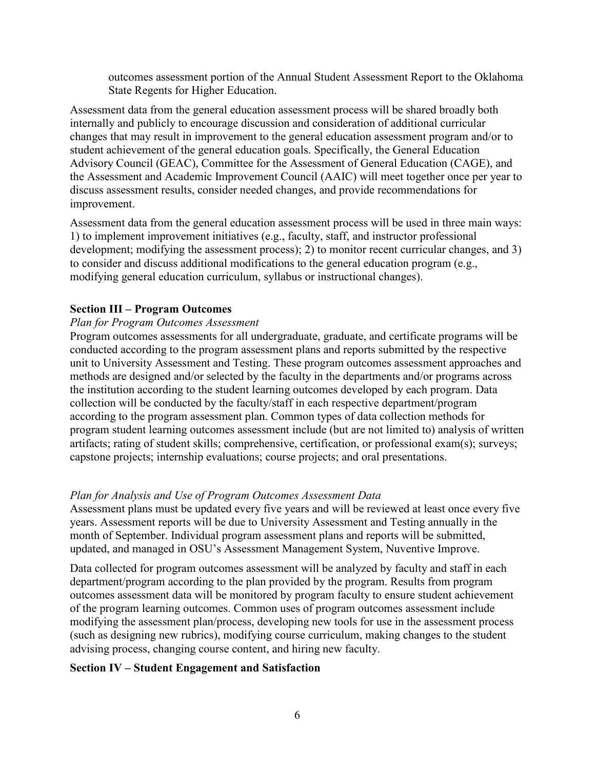outcomes assessment portion of the Annual Student Assessment Report to the Oklahoma State Regents for Higher Education.

Assessment data from the general education assessment process will be shared broadly both internally and publicly to encourage discussion and consideration of additional curricular changes that may result in improvement to the general education assessment program and/or to student achievement of the general education goals. Specifically, the General Education Advisory Council (GEAC), Committee for the Assessment of General Education (CAGE), and the Assessment and Academic Improvement Council (AAIC) will meet together once per year to discuss assessment results, consider needed changes, and provide recommendations for improvement.

Assessment data from the general education assessment process will be used in three main ways: 1) to implement improvement initiatives (e.g., faculty, staff, and instructor professional development; modifying the assessment process); 2) to monitor recent curricular changes, and 3) to consider and discuss additional modifications to the general education program (e.g., modifying general education curriculum, syllabus or instructional changes).

## **Section III – Program Outcomes**

## *Plan for Program Outcomes Assessment*

Program outcomes assessments for all undergraduate, graduate, and certificate programs will be conducted according to the program assessment plans and reports submitted by the respective unit to University Assessment and Testing. These program outcomes assessment approaches and methods are designed and/or selected by the faculty in the departments and/or programs across the institution according to the student learning outcomes developed by each program. Data collection will be conducted by the faculty/staff in each respective department/program according to the program assessment plan. Common types of data collection methods for program student learning outcomes assessment include (but are not limited to) analysis of written artifacts; rating of student skills; comprehensive, certification, or professional exam(s); surveys; capstone projects; internship evaluations; course projects; and oral presentations.

## *Plan for Analysis and Use of Program Outcomes Assessment Data*

Assessment plans must be updated every five years and will be reviewed at least once every five years. Assessment reports will be due to University Assessment and Testing annually in the month of September. Individual program assessment plans and reports will be submitted, updated, and managed in OSU's Assessment Management System, Nuventive Improve.

Data collected for program outcomes assessment will be analyzed by faculty and staff in each department/program according to the plan provided by the program. Results from program outcomes assessment data will be monitored by program faculty to ensure student achievement of the program learning outcomes. Common uses of program outcomes assessment include modifying the assessment plan/process, developing new tools for use in the assessment process (such as designing new rubrics), modifying course curriculum, making changes to the student advising process, changing course content, and hiring new faculty.

## **Section IV – Student Engagement and Satisfaction**